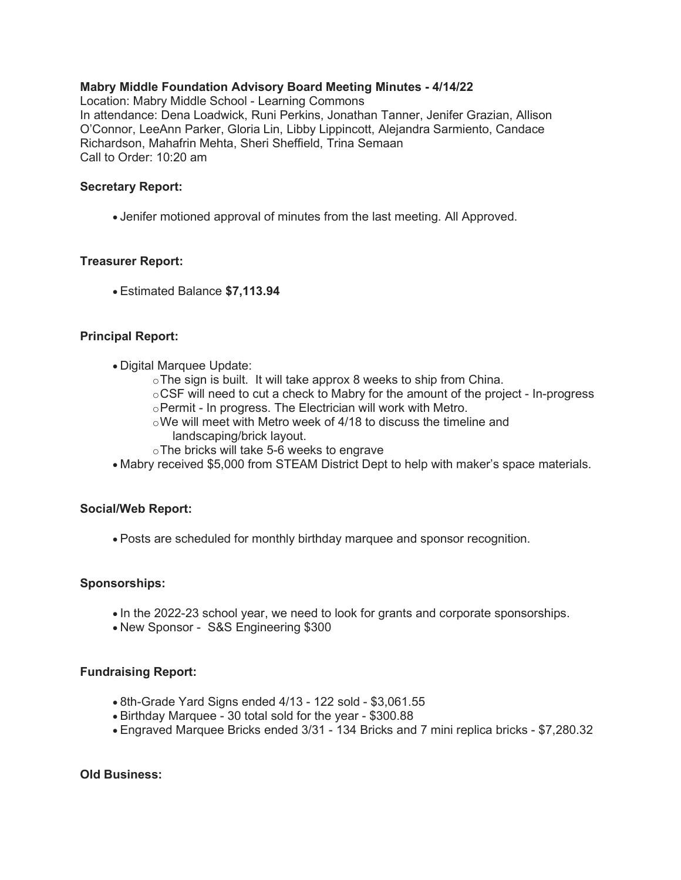## Mabry Middle Foundation Advisory Board Meeting Minutes - 4/14/22

Location: Mabry Middle School - Learning Commons In attendance: Dena Loadwick, Runi Perkins, Jonathan Tanner, Jenifer Grazian, Allison O'Connor, LeeAnn Parker, Gloria Lin, Libby Lippincott, Alejandra Sarmiento, Candace Richardson, Mahafrin Mehta, Sheri Sheffield, Trina Semaan Call to Order: 10:20 am

#### Secretary Report:

Jenifer motioned approval of minutes from the last meeting. All Approved.

### Treasurer Report:

Estimated Balance \$7,113.94

#### Principal Report:

- Digital Marquee Update:
	- $\circ$ The sign is built. It will take approx 8 weeks to ship from China.
	- $\circ$ CSF will need to cut a check to Mabry for the amount of the project In-progress
	- oPermit In progress. The Electrician will work with Metro.
	- oWe will meet with Metro week of 4/18 to discuss the timeline and landscaping/brick layout.
	- oThe bricks will take 5-6 weeks to engrave
- Mabry received \$5,000 from STEAM District Dept to help with maker's space materials.

### Social/Web Report:

Posts are scheduled for monthly birthday marquee and sponsor recognition.

### Sponsorships:

- In the 2022-23 school year, we need to look for grants and corporate sponsorships.
- New Sponsor S&S Engineering \$300

### Fundraising Report:

- 8th-Grade Yard Signs ended 4/13 122 sold \$3,061.55
- Birthday Marquee 30 total sold for the year \$300.88
- Engraved Marquee Bricks ended 3/31 134 Bricks and 7 mini replica bricks \$7,280.32

#### Old Business: